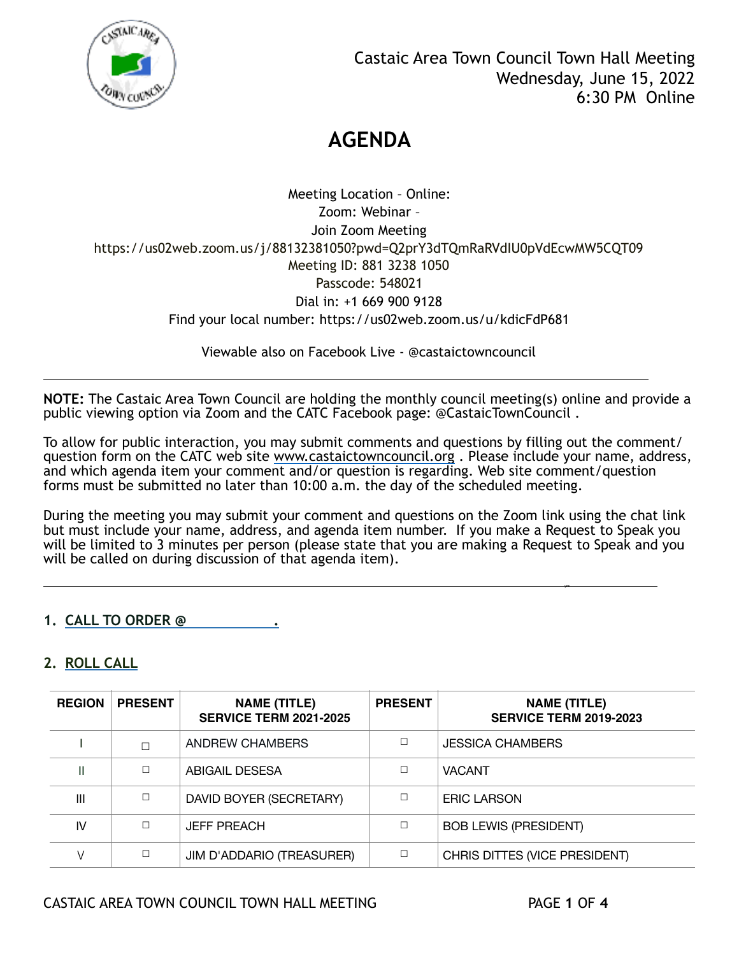

Meeting Location – Online: Zoom: Webinar – Join Zoom Meeting https://us02web.zoom.us/j/88132381050?pwd=Q2prY3dTQmRaRVdIU0pVdEcwMW5CQT09 Meeting ID: 881 3238 1050 Passcode: 548021 Dial in: +1 669 900 9128 Find your local number: https://us02web.zoom.us/u/kdicFdP681

Viewable also on Facebook Live - @castaictowncouncil

**NOTE:** The Castaic Area Town Council are holding the monthly council meeting(s) online and provide a public viewing option via Zoom and the CATC Facebook page: @CastaicTownCouncil .

To allow for public interaction, you may submit comments and questions by filling out the comment/ question form on the CATC web site [www.castaictowncouncil.org](http://www.castaictowncouncil.org) . Please include your name, address, and which agenda item your comment and/or question is regarding. Web site comment/question forms must be submitted no later than 10:00 a.m. the day of the scheduled meeting.

During the meeting you may submit your comment and questions on the Zoom link using the chat link but must include your name, address, and agenda item number. If you make a Request to Speak you will be limited to 3 minutes per person (please state that you are making a Request to Speak and you will be called on during discussion of that agenda item).

you are also assumed to the contract of the contract of the contract of the contract of the contract of the contract of the contract of the contract of the contract of the contract of the contract of the contract of the co

# **1. CALL TO ORDER @ .**

# **2. ROLL CALL**

l

| <b>REGION</b> | <b>PRESENT</b> | <b>NAME (TITLE)</b><br><b>SERVICE TERM 2021-2025</b> | <b>PRESENT</b> | <b>NAME (TITLE)</b><br><b>SERVICE TERM 2019-2023</b> |
|---------------|----------------|------------------------------------------------------|----------------|------------------------------------------------------|
|               | П              | ANDREW CHAMBERS                                      |                | <b>JESSICA CHAMBERS</b>                              |
| Ш             | П              | ABIGAIL DESESA                                       |                | <b>VACANT</b>                                        |
| III           | $\Box$         | DAVID BOYER (SECRETARY)                              |                | <b>ERIC LARSON</b>                                   |
| IV            | П              | <b>JEFF PREACH</b>                                   | П              | <b>BOB LEWIS (PRESIDENT)</b>                         |
|               | □              | JIM D'ADDARIO (TREASURER)                            | П              | CHRIS DITTES (VICE PRESIDENT)                        |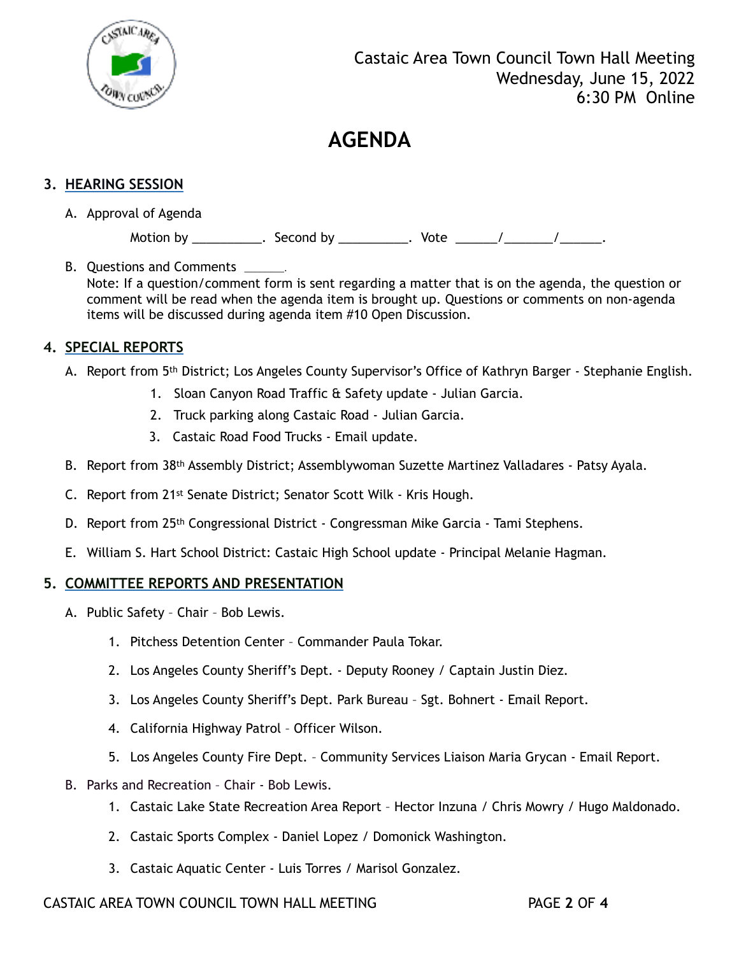

## **3. HEARING SESSION**

A. Approval of Agenda

Motion by \_\_\_\_\_\_\_\_\_\_\_. Second by \_\_\_\_\_\_\_\_\_\_. Vote \_\_\_\_\_\_/\_\_\_\_\_\_\_/\_\_\_\_\_\_\_.

B. Ouestions and Comments Note: If a question/comment form is sent regarding a matter that is on the agenda, the question or comment will be read when the agenda item is brought up. Questions or comments on non-agenda items will be discussed during agenda item #10 Open Discussion.

## **4. SPECIAL REPORTS**

- A. Report from 5<sup>th</sup> District; Los Angeles County Supervisor's Office of Kathryn Barger Stephanie English.
	- 1. Sloan Canyon Road Traffic & Safety update Julian Garcia.
	- 2. Truck parking along Castaic Road Julian Garcia.
	- 3. Castaic Road Food Trucks Email update.
- B. Report from 38th Assembly District; Assemblywoman Suzette Martinez Valladares Patsy Ayala.
- C. Report from 21st Senate District; Senator Scott Wilk Kris Hough.
- D. Report from 25<sup>th</sup> Congressional District Congressman Mike Garcia Tami Stephens.
- E. William S. Hart School District: Castaic High School update Principal Melanie Hagman.

#### **5. COMMITTEE REPORTS AND PRESENTATION**

- A. Public Safety Chair Bob Lewis.
	- 1. Pitchess Detention Center Commander Paula Tokar.
	- 2. Los Angeles County Sheriff's Dept. Deputy Rooney / Captain Justin Diez.
	- 3. Los Angeles County Sheriff's Dept. Park Bureau Sgt. Bohnert Email Report.
	- 4. California Highway Patrol Officer Wilson.
	- 5. Los Angeles County Fire Dept. Community Services Liaison Maria Grycan Email Report.
- B. Parks and Recreation Chair Bob Lewis.
	- 1. Castaic Lake State Recreation Area Report Hector Inzuna / Chris Mowry / Hugo Maldonado.
	- 2. Castaic Sports Complex Daniel Lopez / Domonick Washington.
	- 3. Castaic Aquatic Center Luis Torres / Marisol Gonzalez.

### CASTAIC AREA TOWN COUNCIL TOWN HALL MEETING PAGE **2** OF **4**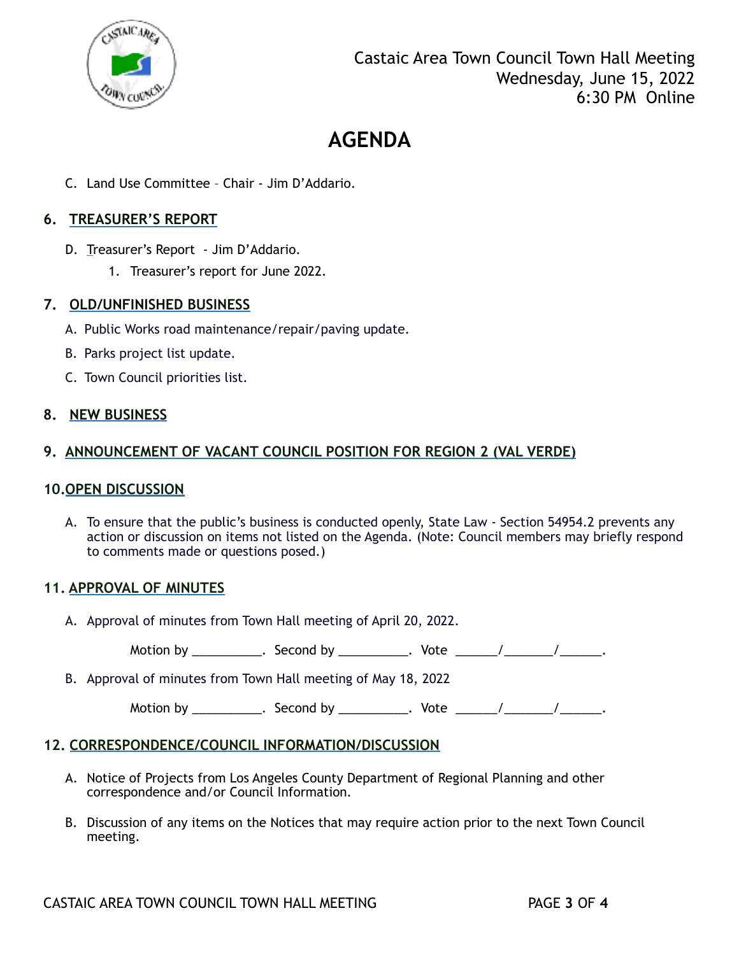

C. Land Use Committee – Chair - Jim D'Addario.

## **6. TREASURER'S REPORT**

- D. Treasurer's Report Jim D'Addario.
	- 1. Treasurer's report for June 2022.

#### **7. OLD/UNFINISHED BUSINESS**

- A. Public Works road maintenance/repair/paving update.
- B. Parks project list update.
- C. Town Council priorities list.

### **8. NEW BUSINESS**

### **9. ANNOUNCEMENT OF VACANT COUNCIL POSITION FOR REGION 2 (VAL VERDE)**

#### **10.OPEN DISCUSSION**

A. To ensure that the public's business is conducted openly, State Law - Section 54954.2 prevents any action or discussion on items not listed on the Agenda. (Note: Council members may briefly respond to comments made or questions posed.)

#### **11. APPROVAL OF MINUTES**

A. Approval of minutes from Town Hall meeting of April 20, 2022.

Motion by \_\_\_\_\_\_\_\_\_\_\_. Second by \_\_\_\_\_\_\_\_\_\_. Vote \_\_\_\_\_\_/ \_\_\_\_\_\_\_/ \_\_\_\_\_\_\_.

B. Approval of minutes from Town Hall meeting of May 18, 2022

Motion by \_\_\_\_\_\_\_\_\_\_\_. Second by \_\_\_\_\_\_\_\_\_\_. Vote \_\_\_\_\_\_/\_\_\_\_\_\_\_/\_\_\_\_\_\_\_.

#### **12. CORRESPONDENCE/COUNCIL INFORMATION/DISCUSSION**

- A. Notice of Projects from Los Angeles County Department of Regional Planning and other correspondence and/or Council Information*.*
- B. Discussion of any items on the Notices that may require action prior to the next Town Council meeting.